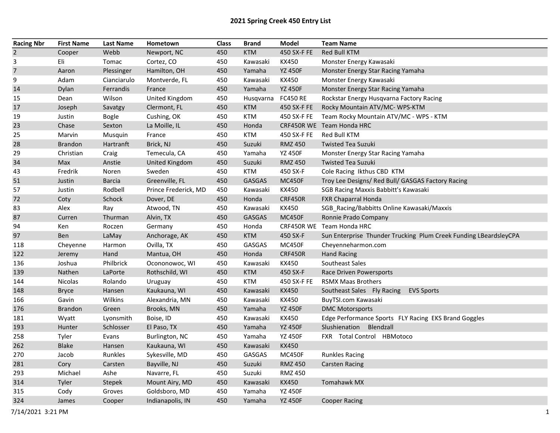| <b>Racing Nbr</b> | <b>First Name</b> | <b>Last Name</b> | Hometown              | <b>Class</b> | <b>Brand</b>  | Model           | <b>Team Name</b>                                                 |
|-------------------|-------------------|------------------|-----------------------|--------------|---------------|-----------------|------------------------------------------------------------------|
| $\overline{2}$    | Cooper            | Webb             | Newport, NC           | 450          | <b>KTM</b>    | 450 SX-F FE     | Red Bull KTM                                                     |
| 3                 | Eli               | Tomac            | Cortez, CO            | 450          | Kawasaki      | KX450           | Monster Energy Kawasaki                                          |
| $\overline{7}$    | Aaron             | Plessinger       | Hamilton, OH          | 450          | Yamaha        | <b>YZ 450F</b>  | Monster Energy Star Racing Yamaha                                |
| 9                 | Adam              | Cianciarulo      | Montverde, FL         | 450          | Kawasaki      | KX450           | Monster Energy Kawasaki                                          |
| 14                | Dylan             | Ferrandis        | France                | 450          | Yamaha        | <b>YZ 450F</b>  | Monster Energy Star Racing Yamaha                                |
| 15                | Dean              | Wilson           | <b>United Kingdom</b> | 450          | Husqvarna     | <b>FC450 RE</b> | Rockstar Energy Husqvarna Factory Racing                         |
| 17                | Joseph            | Savatgy          | Clermont, FL          | 450          | <b>KTM</b>    | 450 SX-F FE     | Rocky Mountain ATV/MC- WPS-KTM                                   |
| 19                | Justin            | <b>Bogle</b>     | Cushing, OK           | 450          | <b>KTM</b>    | 450 SX-F FE     | Team Rocky Mountain ATV/MC - WPS - KTM                           |
| 23                | Chase             | Sexton           | La Moille, IL         | 450          | Honda         |                 | CRF450R WE Team Honda HRC                                        |
| 25                | Marvin            | Musquin          | France                | 450          | KTM           | 450 SX-F FE     | Red Bull KTM                                                     |
| 28                | <b>Brandon</b>    | Hartranft        | Brick, NJ             | 450          | Suzuki        | <b>RMZ 450</b>  | <b>Twisted Tea Suzuki</b>                                        |
| 29                | Christian         | Craig            | Temecula, CA          | 450          | Yamaha        | <b>YZ 450F</b>  | Monster Energy Star Racing Yamaha                                |
| 34                | Max               | Anstie           | <b>United Kingdom</b> | 450          | Suzuki        | <b>RMZ 450</b>  | <b>Twisted Tea Suzuki</b>                                        |
| 43                | Fredrik           | Noren            | Sweden                | 450          | KTM           | 450 SX-F        | Cole Racing Ikthus CBD KTM                                       |
| 51                | Justin            | <b>Barcia</b>    | Greenville, FL        | 450          | <b>GASGAS</b> | <b>MC450F</b>   | Troy Lee Designs/ Red Bull/ GASGAS Factory Racing                |
| 57                | Justin            | Rodbell          | Prince Frederick, MD  | 450          | Kawasaki      | KX450           | SGB Racing Maxxis Babbitt's Kawasaki                             |
| 72                | Coty              | Schock           | Dover, DE             | 450          | Honda         | <b>CRF450R</b>  | <b>FXR Chaparral Honda</b>                                       |
| 83                | Alex              | Ray              | Atwood, TN            | 450          | Kawasaki      | KX450           | SGB_Racing/Babbitts Online Kawasaki/Maxxis                       |
| 87                | Curren            | Thurman          | Alvin, TX             | 450          | <b>GASGAS</b> | <b>MC450F</b>   | Ronnie Prado Company                                             |
| 94                | Ken               | Roczen           | Germany               | 450          | Honda         |                 | CRF450R WE Team Honda HRC                                        |
| 97                | Ben               | LaMay            | Anchorage, AK         | 450          | <b>KTM</b>    | 450 SX-F        | Sun Enterprise Thunder Trucking Plum Creek Funding LBeardsleyCPA |
| 118               | Cheyenne          | Harmon           | Ovilla, TX            | 450          | GASGAS        | <b>MC450F</b>   | Cheyenneharmon.com                                               |
| 122               | Jeremy            | Hand             | Mantua, OH            | 450          | Honda         | <b>CRF450R</b>  | <b>Hand Racing</b>                                               |
| 136               | Joshua            | Philbrick        | Ocononowoc, WI        | 450          | Kawasaki      | KX450           | Southeast Sales                                                  |
| 139               | Nathen            | LaPorte          | Rothschild, WI        | 450          | <b>KTM</b>    | 450 SX-F        | Race Driven Powersports                                          |
| 144               | Nicolas           | Rolando          | Uruguay               | 450          | <b>KTM</b>    | 450 SX-F FE     | <b>RSMX Maas Brothers</b>                                        |
| 148               | <b>Bryce</b>      | Hansen           | Kaukauna, WI          | 450          | Kawasaki      | <b>KX450</b>    | Southeast Sales Fly Racing<br><b>EVS Sports</b>                  |
| 166               | Gavin             | Wilkins          | Alexandria, MN        | 450          | Kawasaki      | KX450           | BuyTSI.com Kawasaki                                              |
| 176               | Brandon           | Green            | Brooks, MN            | 450          | Yamaha        | <b>YZ 450F</b>  | <b>DMC Motorsports</b>                                           |
| 181               | Wyatt             | Lyonsmith        | Boise, ID             | 450          | Kawasaki      | KX450           | Edge Performance Sports FLY Racing EKS Brand Goggles             |
| 193               | Hunter            | Schlosser        | El Paso, TX           | 450          | Yamaha        | <b>YZ 450F</b>  | Slushienation Blendzall                                          |
| 258               | Tyler             | Evans            | Burlington, NC        | 450          | Yamaha        | <b>YZ 450F</b>  | FXR Total Control HBMotoco                                       |
| 262               | <b>Blake</b>      | Hansen           | Kaukauna, WI          | 450          | Kawasaki      | <b>KX450</b>    |                                                                  |
| 270               | Jacob             | Runkles          | Sykesville, MD        | 450          | GASGAS        | <b>MC450F</b>   | <b>Runkles Racing</b>                                            |
| 281               | Cory              | Carsten          | Bayville, NJ          | 450          | Suzuki        | <b>RMZ 450</b>  | Carsten Racing                                                   |
| 293               | Michael           | Ashe             | Navarre, FL           | 450          | Suzuki        | <b>RMZ 450</b>  |                                                                  |
| 314               | Tyler             | Stepek           | Mount Airy, MD        | 450          | Kawasaki      | <b>KX450</b>    | Tomahawk MX                                                      |
| 315               | Cody              | Groves           | Goldsboro, MD         | 450          | Yamaha        | <b>YZ 450F</b>  |                                                                  |
| 324               | James             | Cooper           | Indianapolis, IN      | 450          | Yamaha        | <b>YZ 450F</b>  | <b>Cooper Racing</b>                                             |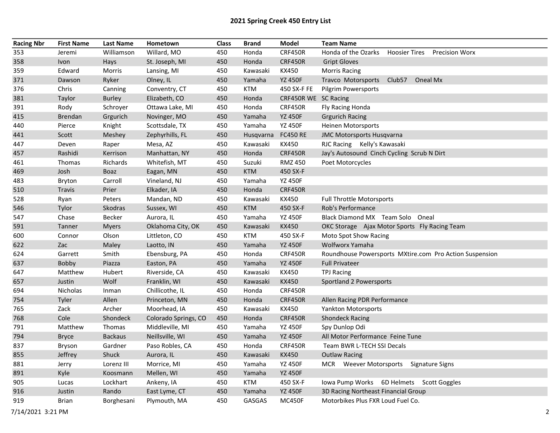| <b>Racing Nbr</b> | <b>First Name</b> | <b>Last Name</b> | Hometown             | <b>Class</b> | <b>Brand</b>  | Model                | <b>Team Name</b>                                        |
|-------------------|-------------------|------------------|----------------------|--------------|---------------|----------------------|---------------------------------------------------------|
| 353               | Jeremi            | Williamson       | Willard, MO          | 450          | Honda         | <b>CRF450R</b>       | Honda of the Ozarks Hoosier Tires Precision Worx        |
| 358               | Ivon              | Hays             | St. Joseph, MI       | 450          | Honda         | <b>CRF450R</b>       | <b>Gript Gloves</b>                                     |
| 359               | Edward            | Morris           | Lansing, MI          | 450          | Kawasaki      | KX450                | <b>Morris Racing</b>                                    |
| 371               | Dawson            | Ryker            | Olney, IL            | 450          | Yamaha        | <b>YZ 450F</b>       | Travco Motorsports Club57<br>Oneal Mx                   |
| 376               | Chris             | Canning          | Conventry, CT        | 450          | <b>KTM</b>    | 450 SX-F FE          | <b>Pilgrim Powersports</b>                              |
| 381               | Taylor            | <b>Burley</b>    | Elizabeth, CO        | 450          | Honda         | CRF450R WE SC Racing |                                                         |
| 391               | Rody              | Schroyer         | Ottawa Lake, MI      | 450          | Honda         | <b>CRF450R</b>       | Fly Racing Honda                                        |
| 415               | <b>Brendan</b>    | Grgurich         | Novinger, MO         | 450          | Yamaha        | <b>YZ 450F</b>       | <b>Grgurich Racing</b>                                  |
| 440               | Pierce            | Knight           | Scottsdale, TX       | 450          | Yamaha        | <b>YZ 450F</b>       | <b>Heinen Motorsports</b>                               |
| 441               | Scott             | Meshey           | Zephyrhills, FL      | 450          | Husqvarna     | <b>FC450 RE</b>      | JMC Motorsports Husqvarna                               |
| 447               | Deven             | Raper            | Mesa, AZ             | 450          | Kawasaki      | KX450                | RJC Racing Kelly's Kawasaki                             |
| 457               | Rashidi           | Kerrison         | Manhattan, NY        | 450          | Honda         | <b>CRF450R</b>       | Jay's Autosound Cinch Cycling Scrub N Dirt              |
| 461               | Thomas            | Richards         | Whitefish, MT        | 450          | Suzuki        | <b>RMZ 450</b>       | Poet Motorcycles                                        |
| 469               | Josh              | <b>Boaz</b>      | Eagan, MN            | 450          | <b>KTM</b>    | 450 SX-F             |                                                         |
| 483               | Bryton            | Carroll          | Vineland, NJ         | 450          | Yamaha        | <b>YZ 450F</b>       |                                                         |
| 510               | Travis            | Prier            | Elkader, IA          | 450          | Honda         | <b>CRF450R</b>       |                                                         |
| 528               | Ryan              | Peters           | Mandan, ND           | 450          | Kawasaki      | KX450                | <b>Full Throttle Motorsports</b>                        |
| 546               | Tylor             | Skodras          | Sussex, WI           | 450          | <b>KTM</b>    | 450 SX-F             | Rob's Performance                                       |
| 547               | Chase             | Becker           | Aurora, IL           | 450          | Yamaha        | <b>YZ 450F</b>       | Black Diamond MX Team Solo Oneal                        |
| 591               | Tanner            | <b>Myers</b>     | Oklahoma City, OK    | 450          | Kawasaki      | <b>KX450</b>         | OKC Storage Ajax Motor Sports Fly Racing Team           |
| 600               | Connor            | Olson            | Littleton, CO        | 450          | <b>KTM</b>    | 450 SX-F             | Moto Spot Show Racing                                   |
| 622               | Zac               | Maley            | Laotto, IN           | 450          | Yamaha        | <b>YZ 450F</b>       | Wolfworx Yamaha                                         |
| 624               | Garrett           | Smith            | Ebensburg, PA        | 450          | Honda         | <b>CRF450R</b>       | Roundhouse Powersports MXtire.com Pro Action Suspension |
| 637               | Bobby             | Piazza           | Easton, PA           | 450          | Yamaha        | <b>YZ 450F</b>       | <b>Full Privateer</b>                                   |
| 647               | Matthew           | Hubert           | Riverside, CA        | 450          | Kawasaki      | KX450                | <b>TPJ Racing</b>                                       |
| 657               | Justin            | Wolf             | Franklin, WI         | 450          | Kawasaki      | <b>KX450</b>         | Sportland 2 Powersports                                 |
| 694               | Nicholas          | Inman            | Chillicothe, IL      | 450          | Honda         | <b>CRF450R</b>       |                                                         |
| 754               | Tyler             | Allen            | Princeton, MN        | 450          | Honda         | <b>CRF450R</b>       | Allen Racing PDR Performance                            |
| 765               | Zack              | Archer           | Moorhead, IA         | 450          | Kawasaki      | KX450                | Yankton Motorsports                                     |
| 768               | Cole              | Shondeck         | Colorado Springs, CO | 450          | Honda         | <b>CRF450R</b>       | <b>Shondeck Racing</b>                                  |
| 791               | Matthew           | Thomas           | Middleville, MI      | 450          | Yamaha        | <b>YZ 450F</b>       | Spy Dunlop Odi                                          |
| 794               | <b>Bryce</b>      | <b>Backaus</b>   | Neillsville, WI      | 450          | Yamaha        | <b>YZ 450F</b>       | All Motor Performance Feine Tune                        |
| 837               | <b>Bryson</b>     | Gardner          | Paso Robles, CA      | 450          | Honda         | <b>CRF450R</b>       | Team BWR L-TECH SSI Decals                              |
| 855               | Jeffrey           | Shuck            | Aurora, IL           | 450          | Kawasaki      | <b>KX450</b>         | <b>Outlaw Racing</b>                                    |
| 881               | Jerry             | Lorenz III       | Morrice, MI          | 450          | Yamaha        | <b>YZ 450F</b>       | MCR Weever Motorsports Signature Signs                  |
| 891               | Kyle              | Koosmann         | Mellen, WI           | 450          | Yamaha        | <b>YZ 450F</b>       |                                                         |
| 905               | Lucas             | Lockhart         | Ankeny, IA           | 450          | <b>KTM</b>    | 450 SX-F             | Iowa Pump Works 6D Helmets Scott Goggles                |
| 916               | Justin            | Rando            | East Lyme, CT        | 450          | Yamaha        | <b>YZ 450F</b>       | 3D Racing Northeast Financial Group                     |
| 919               | Brian             | Borghesani       | Plymouth, MA         | 450          | <b>GASGAS</b> | <b>MC450F</b>        | Motorbikes Plus FXR Loud Fuel Co.                       |